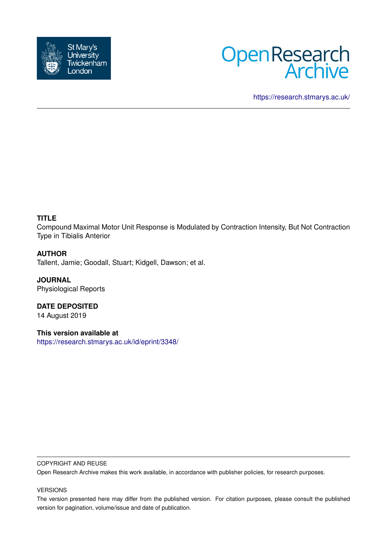



<https://research.stmarys.ac.uk/>

# **TITLE**

Compound Maximal Motor Unit Response is Modulated by Contraction Intensity, But Not Contraction Type in Tibialis Anterior

# **AUTHOR**

Tallent, Jamie; Goodall, Stuart; Kidgell, Dawson; et al.

**JOURNAL** Physiological Reports

**DATE DEPOSITED** 14 August 2019

**This version available at** <https://research.stmarys.ac.uk/id/eprint/3348/>

# COPYRIGHT AND REUSE

Open Research Archive makes this work available, in accordance with publisher policies, for research purposes.

# VERSIONS

The version presented here may differ from the published version. For citation purposes, please consult the published version for pagination, volume/issue and date of publication.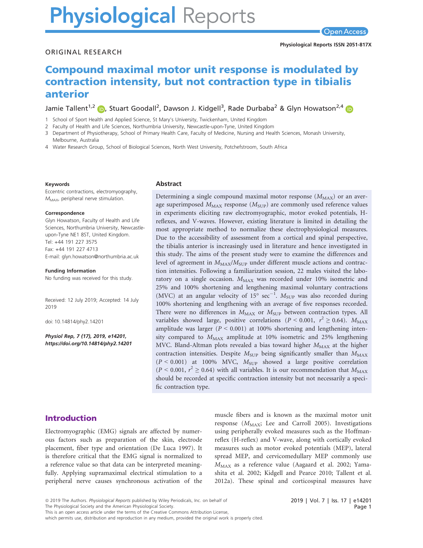# **Physiological Reports**

#### ORIGINAL RESEARCH

# Compound maximal motor unit response is modulated by contraction intensity, but not contraction type in tibialis anterior

Jamie Tallent<sup>1,2</sup> (D, Stuart Goodall<sup>2</sup>, Dawson J. Kidgell<sup>3</sup>, Rade Durbaba<sup>2</sup> & Glyn Howatson<sup>2,[4](https://orcid.org/0000-0001-8494-2043)</sup>

1 School of Sport Health and Applied Science, St Mary's University, Twickenham, United Kingdom

2 Faculty of Health and Life Sciences, Northumbria University, Newcastle-upon-Tyne, United Kingdom

3 Department of Physiotherapy, School of Primary Health Care, Faculty of Medicine, Nursing and Health Sciences, Monash University, Melbourne, Australia

4 Water Research Group, School of Biological Sciences, North West University, Potchefstroom, South Africa

#### Keywords

Eccentric contractions, electromyography,  $M_{MAX}$ , peripheral nerve stimulation.

#### Correspondence

Glyn Howatson, Faculty of Health and Life Sciences, Northumbria University, Newcastleupon-Tyne NE1 8ST, United Kingdom. Tel: +44 191 227 3575 Fax: +44 191 227 4713 E-mail: [glyn.howatson@northumbria.ac.uk](mailto:)

Funding Information No funding was received for this study.

Received: 12 July 2019; Accepted: 14 July 2019

doi: 10.14814/phy2.14201

Physiol Rep, 7 (17), 2019, e14201, <https://doi.org/10.14814/phy2.14201>

#### Abstract

Determining a single compound maximal motor response  $(M_{MAX})$  or an average superimposed  $M_{\rm MAX}$  response  $(M_{\rm SUP})$  are commonly used reference values in experiments eliciting raw electromyographic, motor evoked potentials, Hreflexes, and V-waves. However, existing literature is limited in detailing the most appropriate method to normalize these electrophysiological measures. Due to the accessibility of assessment from a cortical and spinal perspective, the tibialis anterior is increasingly used in literature and hence investigated in this study. The aims of the present study were to examine the differences and level of agreement in  $M_{MAX}/M_{SUP}$  under different muscle actions and contraction intensities. Following a familiarization session, 22 males visited the laboratory on a single occasion.  $M_{MAX}$  was recorded under 10% isometric and 25% and 100% shortening and lengthening maximal voluntary contractions (MVC) at an angular velocity of  $15^{\circ}$  sec<sup>-1</sup>.  $M_{\text{SUP}}$  was also recorded during 100% shortening and lengthening with an average of five responses recorded. There were no differences in  $M_{\text{MAX}}$  or  $M_{\text{SUP}}$  between contraction types. All variables showed large, positive correlations ( $P < 0.001$ ,  $r^2 \ge 0.64$ ).  $M_{\text{MAX}}$ amplitude was larger  $(P < 0.001)$  at 100% shortening and lengthening intensity compared to  $M_{MAX}$  amplitude at 10% isometric and 25% lengthening MVC. Bland-Altman plots revealed a bias toward higher  $M_{MAX}$  at the higher contraction intensities. Despite  $M<sub>SUP</sub>$  being significantly smaller than  $M<sub>MAX</sub>$  $(P < 0.001)$  at 100% MVC,  $M<sub>SUP</sub>$  showed a large positive correlation  $(P < 0.001, r^2 \ge 0.64)$  with all variables. It is our recommendation that  $M_{MAX}$ should be recorded at specific contraction intensity but not necessarily a specific contraction type.

# Introduction

Electromyographic (EMG) signals are affected by numerous factors such as preparation of the skin, electrode placement, fiber type and orientation (De Luca 1997). It is therefore critical that the EMG signal is normalized to a reference value so that data can be interpreted meaningfully. Applying supramaximal electrical stimulation to a peripheral nerve causes synchronous activation of the muscle fibers and is known as the maximal motor unit response  $(M_{MAX}$ ; Lee and Carroll 2005). Investigations using peripherally evoked measures such as the Hoffmanreflex (H-reflex) and V-wave, along with cortically evoked measures such as motor evoked potentials (MEP), lateral spread MEP, and cervicomedullary MEP commonly use MMAX as a reference value (Aagaard et al. 2002; Yamashita et al. 2002; Kidgell and Pearce 2010; Tallent et al. 2012a). These spinal and corticospinal measures have

<sup>ª</sup> 2019 The Authors. Physiological Reports published by Wiley Periodicals, Inc. on behalf of

The Physiological Society and the American Physiological Society.

which permits use, distribution and reproduction in any medium, provided the original work is properly cited.

This is an open access article under the terms of the [Creative Commons Attribution](http://creativecommons.org/licenses/by/4.0/) License,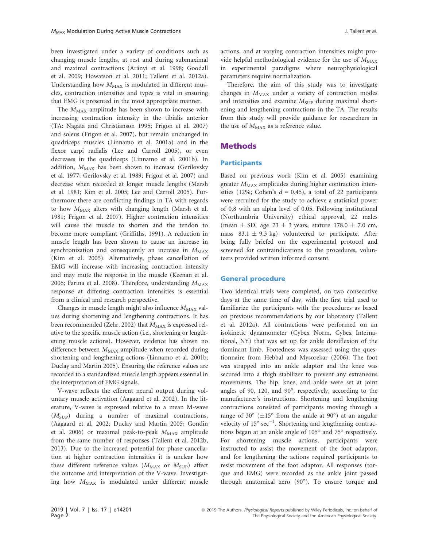been investigated under a variety of conditions such as changing muscle lengths, at rest and during submaximal and maximal contractions (Arányi et al. 1998; Goodall et al. 2009; Howatson et al. 2011; Tallent et al. 2012a). Understanding how  $M_{MAX}$  is modulated in different muscles, contraction intensities and types is vital in ensuring that EMG is presented in the most appropriate manner.

The  $M_{MAX}$  amplitude has been shown to increase with increasing contraction intensity in the tibialis anterior (TA: Nagata and Christianson 1995; Frigon et al. 2007) and soleus (Frigon et al. 2007), but remain unchanged in quadriceps muscles (Linnamo et al. 2001a) and in the flexor carpi radialis (Lee and Carroll 2005), or even decreases in the quadriceps (Linnamo et al. 2001b). In addition,  $M_{MAX}$  has been shown to increase (Gerilovsky et al. 1977; Gerilovsky et al. 1989; Frigon et al. 2007) and decrease when recorded at longer muscle lengths (Marsh et al. 1981; Kim et al. 2005; Lee and Carroll 2005). Furthermore there are conflicting findings in TA with regards to how  $M_{MAX}$  alters with changing length (Marsh et al. 1981; Frigon et al. 2007). Higher contraction intensities will cause the muscle to shorten and the tendon to become more compliant (Griffiths, 1991). A reduction in muscle length has been shown to cause an increase in synchronization and consequently an increase in  $M_{MAX}$ (Kim et al. 2005). Alternatively, phase cancellation of EMG will increase with increasing contraction intensity and may mute the response in the muscle (Keenan et al. 2006; Farina et al. 2008). Therefore, understanding  $M_{\text{MAX}}$ response at differing contraction intensities is essential from a clinical and research perspective.

Changes in muscle length might also influence  $M_{MAX}$  values during shortening and lengthening contractions. It has been recommended (Zehr, 2002) that  $M_{MAX}$  is expressed relative to the specific muscle action (i.e., shortening or lengthening muscle actions). However, evidence has shown no difference between  $M_{MAX}$  amplitude when recorded during shortening and lengthening actions (Linnamo et al. 2001b; Duclay and Martin 2005). Ensuring the reference values are recorded to a standardized muscle length appears essential in the interpretation of EMG signals.

V-wave reflects the efferent neural output during voluntary muscle activation (Aagaard et al. 2002). In the literature, V-wave is expressed relative to a mean M-wave  $(M_{\text{SUP}})$  during a number of maximal contractions, (Aagaard et al. 2002; Duclay and Martin 2005; Gondin et al. 2006) or maximal peak-to-peak  $M_{MAX}$  amplitude from the same number of responses (Tallent et al. 2012b, 2013). Due to the increased potential for phase cancellation at higher contraction intensities it is unclear how these different reference values  $(M_{MAX}$  or  $M_{SUP}$ ) affect the outcome and interpretation of the V-wave. Investigating how  $M_{MAX}$  is modulated under different muscle

actions, and at varying contraction intensities might provide helpful methodological evidence for the use of  $M_{MAX}$ in experimental paradigms where neurophysiological parameters require normalization.

Therefore, the aim of this study was to investigate changes in  $M_{MAX}$  under a variety of contraction modes and intensities and examine  $M<sub>SUP</sub>$  during maximal shortening and lengthening contractions in the TA. The results from this study will provide guidance for researchers in the use of  $M_{MAX}$  as a reference value.

## Methods

#### **Participants**

Based on previous work (Kim et al. 2005) examining greater  $M_{MAX}$  amplitudes during higher contraction intensities (12%; Cohen's  $d = 0.45$ ), a total of 22 participants were recruited for the study to achieve a statistical power of 0.8 with an alpha level of 0.05. Following institutional (Northumbria University) ethical approval, 22 males (mean  $\pm$  SD, age 23  $\pm$  3 years, stature 178.0  $\pm$  7.0 cm, mass  $83.1 \pm 9.3$  kg) volunteered to participate. After being fully briefed on the experimental protocol and screened for contraindications to the procedures, volunteers provided written informed consent.

#### General procedure

Two identical trials were completed, on two consecutive days at the same time of day, with the first trial used to familiarize the participants with the procedures as based on previous recommendations by our laboratory (Tallent et al. 2012a). All contractions were performed on an isokinetic dynamometer (Cybex Norm, Cybex International, NY) that was set up for ankle dorsiflexion of the dominant limb. Footedness was assessed using the questionnaire from Hebbal and Mysorekar (2006). The foot was strapped into an ankle adaptor and the knee was secured into a thigh stabilizer to prevent any extraneous movements. The hip, knee, and ankle were set at joint angles of 90, 120, and 90°, respectively, according to the manufacturer's instructions. Shortening and lengthening contractions consisted of participants moving through a range of 30 $\degree$  ( $\pm$ 15 $\degree$  from the ankle at 90 $\degree$ ) at an angular velocity of  $15^{\circ} \text{·sec}^{-1}$ . Shortening and lengthening contractions began at an ankle angle of 105° and 75° respectively. For shortening muscle actions, participants were instructed to assist the movement of the foot adaptor, and for lengthening the actions required participants to resist movement of the foot adaptor. All responses (torque and EMG) were recorded as the ankle joint passed through anatomical zero (90°). To ensure torque and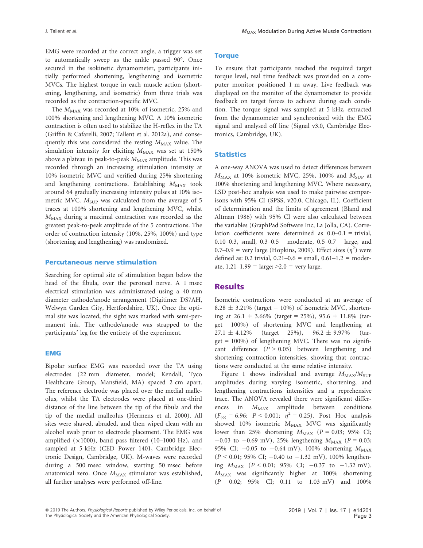EMG were recorded at the correct angle, a trigger was set to automatically sweep as the ankle passed 90°. Once secured in the isokinetic dynamometer, participants initially performed shortening, lengthening and isometric MVCs. The highest torque in each muscle action (shortening, lengthening, and isometric) from three trials was recorded as the contraction-specific MVC.

The  $M_{MAX}$  was recorded at 10% of isometric, 25% and 100% shortening and lengthening MVC. A 10% isometric contraction is often used to stabilize the H-reflex in the TA (Griffin & Cafarelli, 2007; Tallent et al. 2012a), and consequently this was considered the resting  $M_{MAX}$  value. The simulation intensity for eliciting  $M_{MAX}$  was set at 150% above a plateau in peak-to-peak  $M_{\rm MAX}$  amplitude. This was recorded through an increasing stimulation intensity at 10% isometric MVC and verified during 25% shortening and lengthening contractions. Establishing  $M_{MAX}$  took around 64 gradually increasing intensity pulses at 10% isometric MVC.  $M<sub>SUP</sub>$  was calculated from the average of 5 traces at 100% shortening and lengthening MVC, whilst  $M_{\text{MAX}}$  during a maximal contraction was recorded as the greatest peak-to-peak amplitude of the 5 contractions. The order of contraction intensity (10%, 25%, 100%) and type (shortening and lengthening) was randomized.

#### Percutaneous nerve stimulation

Searching for optimal site of stimulation began below the head of the fibula, over the peroneal nerve. A 1 msec electrical stimulation was administrated using a 40 mm diameter cathode/anode arrangement (Digitimer DS7AH, Welwyn Garden City, Hertfordshire, UK). Once the optimal site was located, the sight was marked with semi-permanent ink. The cathode/anode was strapped to the participants' leg for the entirety of the experiment.

#### EMG

Bipolar surface EMG was recorded over the TA using electrodes (22 mm diameter, model; Kendall, Tyco Healthcare Group, Mansfield, MA) spaced 2 cm apart. The reference electrode was placed over the medial malleolus, whilst the TA electrodes were placed at one-third distance of the line between the tip of the fibula and the tip of the medial malleolus (Hermens et al. 2000). All sites were shaved, abraded, and then wiped clean with an alcohol swab prior to electrode placement. The EMG was amplified  $(\times 1000)$ , band pass filtered (10–1000 Hz), and sampled at 5 kHz (CED Power 1401, Cambridge Electronic Design, Cambridge, UK). M-waves were recorded during a 500 msec window, starting 50 msec before anatomical zero. Once  $M_{\text{MAX}}$  stimulator was established, all further analyses were performed off-line.

#### **Torque**

To ensure that participants reached the required target torque level, real time feedback was provided on a computer monitor positioned 1 m away. Live feedback was displayed on the monitor of the dynamometer to provide feedback on target forces to achieve during each condition. The torque signal was sampled at 5 kHz, extracted from the dynamometer and synchronized with the EMG signal and analysed off line (Signal v3.0, Cambridge Electronics, Cambridge, UK).

#### **Statistics**

A one-way ANOVA was used to detect differences between  $M_{\text{MAX}}$  at 10% isometric MVC, 25%, 100% and  $M_{\text{SUP}}$  at 100% shortening and lengthening MVC. Where necessary, LSD post-hoc analysis was used to make pairwise comparisons with 95% CI (SPSS, v20.0, Chicago, IL). Coefficient of determination and the limits of agreement (Bland and Altman 1986) with 95% CI were also calculated between the variables (GraphPad Software Inc, La Jolla, CA). Correlation coefficients were determined as 0.0–0.1 = trivial, 0.10–0.3, small,  $0.3-0.5$  = moderate,  $0.5-0.7$  = large, and  $0.7-0.9$  = very large (Hopkins, 2009). Effect sizes  $(\eta^2)$  were defined as: 0.2 trivial,  $0.21-0.6$  = small,  $0.61-1.2$  = moderate,  $1.21 - 1.99 = \text{large}$ ;  $>2.0 = \text{very large}$ .

## **Results**

Isometric contractions were conducted at an average of 8.28  $\pm$  3.21% (target = 10%) of isometric MVC, shortening at  $26.1 \pm 3.66\%$  (target = 25%), 95.6  $\pm$  11.8% (tar $get = 100\%$  of shortening MVC and lengthening at  $27.1 \pm 4.12\%$  (target = 25%), 96.2  $\pm$  9.97% (tar $get = 100\%$ ) of lengthening MVC. There was no significant difference  $(P > 0.05)$  between lengthening and shortening contraction intensities, showing that contractions were conducted at the same relative intensity.

Figure 1 shows individual and average  $M_{\text{MAX}}/M_{\text{SLIP}}$ amplitudes during varying isometric, shortening, and lengthening contractions intensities and a reprehensive trace. The ANOVA revealed there were significant differences in  $M_{MAX}$  amplitude between conditions  $(F_{(6)} = 6.96: P < 0.001; \eta^2 = 0.25)$ . Post Hoc analysis showed  $10\%$  isometric  $M_{MAX}$  MVC was significantly lower than 25% shortening  $M_{MAX}$  ( $P = 0.03$ ; 95% CI;  $-0.03$  to  $-0.69$  mV), 25% lengthening  $M_{MAX}$  (P = 0.03; 95% CI;  $-0.05$  to  $-0.64$  mV), 100% shortening  $M_{MAX}$  $(P < 0.01; 95\% \text{ CI}; -0.40 \text{ to } -1.32 \text{ mV})$ , 100% lengthening  $M_{MAX}$  ( $P < 0.01$ ; 95% CI;  $-0.37$  to  $-1.32$  mV).  $M_{\text{MAX}}$  was significantly higher at 100% shortening  $(P = 0.02; 95\% \text{ CI}; 0.11 \text{ to } 1.03 \text{ mV})$  and  $100\%$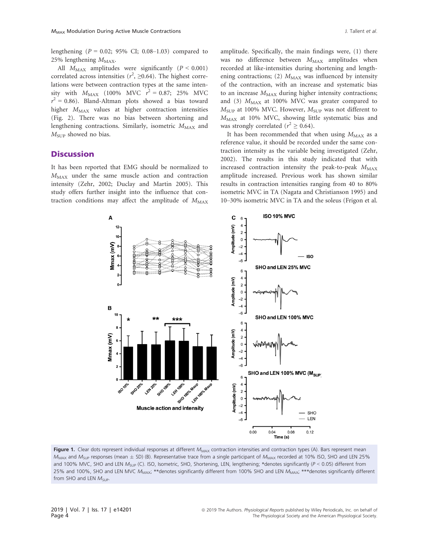lengthening ( $P = 0.02$ ; 95% CI; 0.08–1.03) compared to 25% lengthening  $M_{MAX}$ .

All  $M_{MAX}$  amplitudes were significantly ( $P < 0.001$ ) correlated across intensities ( $r^2$ ,  $\geq$ 0.64). The highest correlations were between contraction types at the same intensity with  $M_{\text{MAX}}$  (100% MVC  $r^2 = 0.87;$  25% MVC  $r^2 = 0.86$ ). Bland-Altman plots showed a bias toward higher  $M_{MAX}$  values at higher contraction intensities (Fig. 2). There was no bias between shortening and lengthening contractions. Similarly, isometric  $M_{MAX}$  and  $M_{\text{SUP}}$  showed no bias.

# **Discussion**

It has been reported that EMG should be normalized to  $M_{\text{MAX}}$  under the same muscle action and contraction intensity (Zehr, 2002; Duclay and Martin 2005). This study offers further insight into the influence that contraction conditions may affect the amplitude of  $M_{MAX}$  amplitude. Specifically, the main findings were, (1) there was no difference between  $M_{MAX}$  amplitudes when recorded at like-intensities during shortening and lengthening contractions; (2)  $M_{MAX}$  was influenced by intensity of the contraction, with an increase and systematic bias to an increase  $M_{MAX}$  during higher intensity contractions; and (3)  $M_{MAX}$  at 100% MVC was greater compared to  $M_{\text{SUP}}$  at 100% MVC. However,  $M_{\text{SUP}}$  was not different to  $M_{\text{MAX}}$  at 10% MVC, showing little systematic bias and was strongly correlated ( $r^2 \ge 0.64$ ).

It has been recommended that when using  $M_{MAX}$  as a reference value, it should be recorded under the same contraction intensity as the variable being investigated (Zehr, 2002). The results in this study indicated that with increased contraction intensity the peak-to-peak  $M_{MAX}$ amplitude increased. Previous work has shown similar results in contraction intensities ranging from 40 to 80% isometric MVC in TA (Nagata and Christianson 1995) and 10–30% isometric MVC in TA and the soleus (Frigon et al.



Figure 1. Clear dots represent individual responses at different  $M_{MAX}$  contraction intensities and contraction types (A). Bars represent mean  $M_{MAX}$  and  $M_{SUP}$  responses (mean  $\pm$  SD) (B). Representative trace from a single participant of  $M_{MAX}$  recorded at 10% ISO, SHO and LEN 25% and 100% MVC, SHO and LEN  $M_{SUP}$  (C). ISO, Isometric, SHO, Shortening, LEN, lengthening; \*denotes significantly ( $P < 0.05$ ) different from 25% and 100%, SHO and LEN MVC  $M_{\text{MAX}}$ ; \*\*denotes significantly different from 100% SHO and LEN  $M_{\text{MAX}}$ ; \*\*\*denotes significantly different from SHO and LEN  $M_{SUP}$ .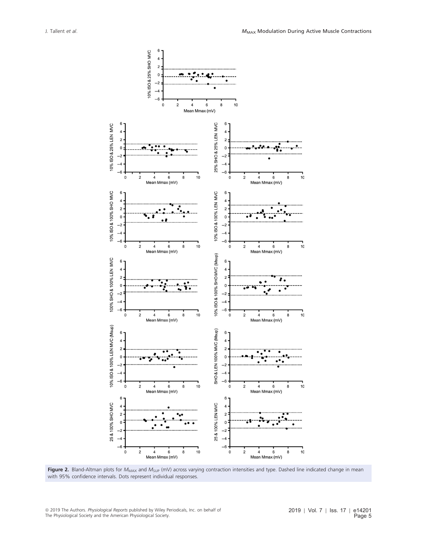



<sup>ª</sup> 2019 The Authors. Physiological Reports published by Wiley Periodicals, Inc. on behalf of The Physiological Society and the American Physiological Society.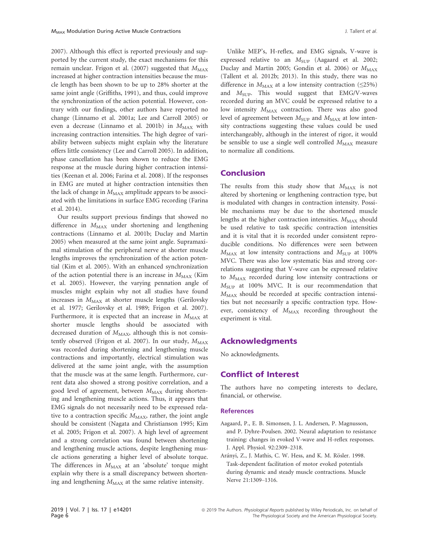2007). Although this effect is reported previously and supported by the current study, the exact mechanisms for this remain unclear. Frigon et al. (2007) suggested that  $M_{\text{MAX}}$ increased at higher contraction intensities because the muscle length has been shown to be up to 28% shorter at the same joint angle (Griffiths, 1991), and thus, could improve the synchronization of the action potential. However, contrary with our findings, other authors have reported no change (Linnamo et al. 2001a; Lee and Carroll 2005) or even a decrease (Linnamo et al. 2001b) in  $M_{MAX}$  with increasing contraction intensities. The high degree of variability between subjects might explain why the literature offers little consistency (Lee and Carroll 2005). In addition, phase cancellation has been shown to reduce the EMG response at the muscle during higher contraction intensities (Keenan et al. 2006; Farina et al. 2008). If the responses in EMG are muted at higher contraction intensities then the lack of change in  $M_{MAX}$  amplitude appears to be associated with the limitations in surface EMG recording (Farina et al. 2014).

Our results support previous findings that showed no difference in  $M_{MAX}$  under shortening and lengthening contractions (Linnamo et al. 2001b; Duclay and Martin 2005) when measured at the same joint angle. Supramaximal stimulation of the peripheral nerve at shorter muscle lengths improves the synchronization of the action potential (Kim et al. 2005). With an enhanced synchronization of the action potential there is an increase in  $M_{MAX}$  (Kim et al. 2005). However, the varying pennation angle of muscles might explain why not all studies have found increases in  $M_{\rm MAX}$  at shorter muscle lengths (Gerilovsky et al. 1977; Gerilovsky et al. 1989; Frigon et al. 2007). Furthermore, it is expected that an increase in  $M_{MAX}$  at shorter muscle lengths should be associated with decreased duration of  $M_{\text{MAX}}$ , although this is not consistently observed (Frigon et al. 2007). In our study,  $M_{MAX}$ was recorded during shortening and lengthening muscle contractions and importantly, electrical stimulation was delivered at the same joint angle, with the assumption that the muscle was at the same length. Furthermore, current data also showed a strong positive correlation, and a good level of agreement, between  $M_{MAX}$  during shortening and lengthening muscle actions. Thus, it appears that EMG signals do not necessarily need to be expressed relative to a contraction specific  $M_{MAX}$ , rather, the joint angle should be consistent (Nagata and Christianson 1995; Kim et al. 2005; Frigon et al. 2007). A high level of agreement and a strong correlation was found between shortening and lengthening muscle actions, despite lengthening muscle actions generating a higher level of absolute torque. The differences in  $M_{MAX}$  at an 'absolute' torque might explain why there is a small discrepancy between shortening and lengthening  $M_{\rm MAX}$  at the same relative intensity.

Unlike MEP's, H-reflex, and EMG signals, V-wave is expressed relative to an  $M_{\text{SUP}}$  (Aagaard et al. 2002; Duclay and Martin 2005; Gondin et al. 2006) or  $M_{\rm MAX}$ (Tallent et al. 2012b; 2013). In this study, there was no difference in  $M_{MAX}$  at a low intensity contraction ( $\leq$ 25%) and  $M_{\text{SUP}}$ . This would suggest that EMG/V-waves recorded during an MVC could be expressed relative to a low intensity  $M_{MAX}$  contraction. There was also good level of agreement between  $M<sub>SUP</sub>$  and  $M<sub>MAX</sub>$  at low intensity contractions suggesting these values could be used interchangeably, although in the interest of rigor, it would be sensible to use a single well controlled  $M_{MAX}$  measure to normalize all conditions.

# Conclusion

The results from this study show that  $M_{MAX}$  is not altered by shortening or lengthening contraction type, but is modulated with changes in contraction intensity. Possible mechanisms may be due to the shortened muscle lengths at the higher contraction intensities.  $M_{\text{MAX}}$  should be used relative to task specific contraction intensities and it is vital that it is recorded under consistent reproducible conditions. No differences were seen between  $M_{\text{MAX}}$  at low intensity contractions and  $M_{\text{SUP}}$  at 100% MVC. There was also low systematic bias and strong correlations suggesting that V-wave can be expressed relative to  $M<sub>MAX</sub>$  recorded during low intensity contractions or  $M_{\text{SUP}}$  at 100% MVC. It is our recommendation that  $M<sub>MAX</sub>$  should be recorded at specific contraction intensities but not necessarily a specific contraction type. However, consistency of  $M_{MAX}$  recording throughout the experiment is vital.

# Acknowledgments

No acknowledgments.

# Conflict of Interest

The authors have no competing interests to declare, financial, or otherwise.

#### **References**

- Aagaard, P., E. B. Simonsen, J. L. Andersen, P. Magnusson, and P. Dyhre-Poulsen. 2002. Neural adaptation to resistance training: changes in evoked V-wave and H-reflex responses. J. Appl. Physiol. 92:2309–2318.
- Arányi, Z., J. Mathis, C. W. Hess, and K. M. Rösler. 1998. Task-dependent facilitation of motor evoked potentials during dynamic and steady muscle contractions. Muscle Nerve 21:1309–1316.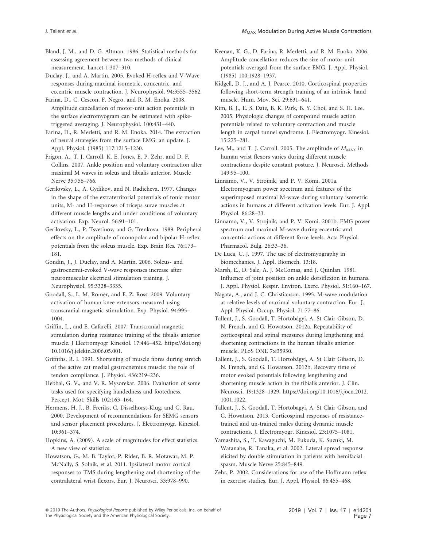Bland, J. M., and D. G. Altman. 1986. Statistical methods for assessing agreement between two methods of clinical measurement. Lancet 1:307–310.

Duclay, J., and A. Martin. 2005. Evoked H-reflex and V-Wave responses during maximal isometric, concentric, and eccentric muscle contraction. J. Neurophysiol. 94:3555-3562.

Farina, D., C. Cescon, F. Negro, and R. M. Enoka. 2008. Amplitude cancellation of motor-unit action potentials in the surface electromyogram can be estimated with spiketriggered averaging. J. Neurophysiol. 100:431–440.

Farina, D., R. Merletti, and R. M. Enoka. 2014. The extraction of neural strategies from the surface EMG: an update. J. Appl. Physiol. (1985) 117:1215–1230.

Frigon, A., T. J. Carroll, K. E. Jones, E. P. Zehr, and D. F. Collins. 2007. Ankle position and voluntary contraction alter maximal M waves in soleus and tibialis anterior. Muscle Nerve 35:756–766.

Gerilovsky, L., A. Gydikov, and N. Radicheva. 1977. Changes in the shape of the extraterritorial potentials of tonic motor units, M- and H-responses of triceps surae muscles at different muscle lengths and under conditions of voluntary activation. Exp. Neurol. 56:91–101.

Gerilovsky, L., P. Tsvetinov, and G. Trenkova. 1989. Peripheral effects on the amplitude of monopolar and bipolar H-reflex potentials from the soleus muscle. Exp. Brain Res. 76:173– 181.

Gondin, J., J. Duclay, and A. Martin. 2006. Soleus- and gastrocnemii-evoked V-wave responses increase after neuromuscular electrical stimulation training. J. Neurophysiol. 95:3328–3335.

Goodall, S., L. M. Romer, and E. Z. Ross. 2009. Voluntary activation of human knee extensors measured using transcranial magnetic stimulation. Exp. Physiol. 94:995– 1004.

Griffin, L., and E. Cafarelli. 2007. Transcranial magnetic stimulation during resistance training of the tibialis anterior muscle. J Electromyogr Kinesiol. 17:446–452. [https://doi.org/](https://doi.org/10.1016/j.jelekin.2006.05.001) [10.1016/j.jelekin.2006.05.001](https://doi.org/10.1016/j.jelekin.2006.05.001).

Griffiths, R. I. 1991. Shortening of muscle fibres during stretch of the active cat medial gastrocnemius muscle: the role of tendon compliance. J. Physiol. 436:219–236.

Hebbal, G. V., and V. R. Mysorekar. 2006. Evaluation of some tasks used for specifying handedness and footedness. Percept. Mot. Skills 102:163–164.

Hermens, H. J., B. Freriks, C. Disselhorst-Klug, and G. Rau. 2000. Development of recommendations for SEMG sensors and sensor placement procedures. J. Electromyogr. Kinesiol. 10:361–374.

Hopkins, A. (2009). A scale of magnitudes for effect statistics. A new view of statistics.

Howatson, G., M. B. Taylor, P. Rider, B. R. Motawar, M. P. McNally, S. Solnik, et al. 2011. Ipsilateral motor cortical responses to TMS during lengthening and shortening of the contralateral wrist flexors. Eur. J. Neurosci. 33:978–990.

Keenan, K. G., D. Farina, R. Merletti, and R. M. Enoka. 2006. Amplitude cancellation reduces the size of motor unit potentials averaged from the surface EMG. J. Appl. Physiol. (1985) 100:1928–1937.

Kidgell, D. J., and A. J. Pearce. 2010. Corticospinal properties following short-term strength training of an intrinsic hand muscle. Hum. Mov. Sci. 29:631–641.

Kim, B. J., E. S. Date, B. K. Park, B. Y. Choi, and S. H. Lee. 2005. Physiologic changes of compound muscle action potentials related to voluntary contraction and muscle length in carpal tunnel syndrome. J. Electromyogr. Kinesiol. 15:275–281.

Lee, M., and T. J. Carroll. 2005. The amplitude of  $M_{\rm MAX}$  in human wrist flexors varies during different muscle contractions despite constant posture. J. Neurosci. Methods 149:95–100.

Linnamo, V., V. Strojnik, and P. V. Komi. 2001a. Electromyogram power spectrum and features of the superimposed maximal M-wave during voluntary isometric actions in humans at different activation levels. Eur. J. Appl. Physiol. 86:28–33.

Linnamo, V., V. Strojnik, and P. V. Komi. 2001b. EMG power spectrum and maximal M-wave during eccentric and concentric actions at different force levels. Acta Physiol. Pharmacol. Bulg. 26:33–36.

De Luca, C. J. 1997. The use of electromyography in biomechanics. J. Appl. Biomech. 13:18.

Marsh, E., D. Sale, A. J. McComas, and J. Quinlan. 1981. Influence of joint position on ankle dorsiflexion in humans. J. Appl. Physiol. Respir. Environ. Exerc. Physiol. 51:160–167.

Nagata, A., and J. C. Christianson. 1995. M-wave modulation at relative levels of maximal voluntary contraction. Eur. J. Appl. Physiol. Occup. Physiol. 71:77–86.

Tallent, J., S. Goodall, T. Hortobagyi, A. St Clair Gibson, D. N. French, and G. Howatson. 2012a. Repeatability of corticospinal and spinal measures during lengthening and shortening contractions in the human tibialis anterior muscle. PLoS ONE 7:e35930.

Tallent, J., S. Goodall, T. Hortobágyi, A. St Clair Gibson, D. N. French, and G. Howatson. 2012b. Recovery time of motor evoked potentials following lengthening and shortening muscle action in the tibialis anterior. J. Clin. Neurosci. 19:1328–1329. [https://doi.org/10.1016/j.jocn.2012.](https://doi.org/10.1016/j.jocn.2012.1001.1022) [1001.1022.](https://doi.org/10.1016/j.jocn.2012.1001.1022)

Tallent, J., S. Goodall, T. Hortobagyi, A. St Clair Gibson, and G. Howatson. 2013. Corticospinal responses of resistancetrained and un-trained males during dynamic muscle contractions. J. Electromyogr. Kinesiol. 23:1075–1081.

Yamashita, S., T. Kawaguchi, M. Fukuda, K. Suzuki, M. Watanabe, R. Tanaka, et al. 2002. Lateral spread response elicited by double stimulation in patients with hemifacial spasm. Muscle Nerve 25:845–849.

Zehr, P. 2002. Considerations for use of the Hoffmann reflex in exercise studies. Eur. J. Appl. Physiol. 86:455–468.

<sup>ª</sup> 2019 The Authors. Physiological Reports published by Wiley Periodicals, Inc. on behalf of The Physiological Society and the American Physiological Society.